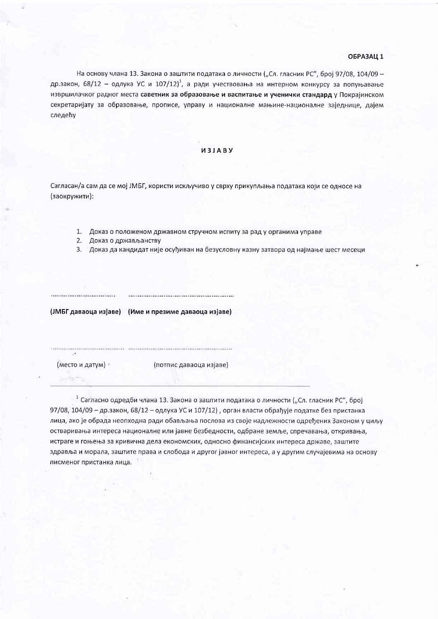## ОБРАЗАЦ 1

На основу члана 13. Закона о заштити података о личности ("Сл. гласник РС", број 97/08, 104/09 др.закон, 68/12 - одлука УС и 107/12)<sup>1</sup>, а ради учествовања на интерном конкурсу за попуњавање извршилачког радног места саветник за образовање и васпитање и ученички стандард у Покрајинском секретаријату за образовање, прописе, управу и националне мањине-националне заједнице, дајем следећу

## *M3JABY*

Сагласан/а сам да се мој ЈМБГ, користи искључиво у сврху прикупљања података који се односе на (заокружити):

- 1. Доказ о положеном државном стручном испиту за рад у органима управе
- 2. Доказ о држављанству
- 3. Доказ да кандидат није осуђиван на безусловну казну затвора од најмање шест месеци

(ЈМБГ даваоца изјаве) (Име и презиме даваоца изјаве)

(место и датум)

(потпис даваоца изјаве)

<sup>1</sup> Сагласно одредби члана 13. Закона о заштити података о личности ("Сл. гласник РС", број 97/08, 104/09 - др.закон, 68/12 - одлука УС и 107/12), орган власти обрађује податке без пристанка лица, ако је обрада неопходна ради обављања послова из своје надлежности одређених Законом у циљу остваривања интереса националне или јавне безбедности, одбране земље, спречавања, откривања, истраге и гоњења за кривична дела економских, односно финансијских интереса државе, заштите здравља и морала, заштите права и слобода и другог јавног интереса, а у другим случајевима на основу писменог пристанка лица.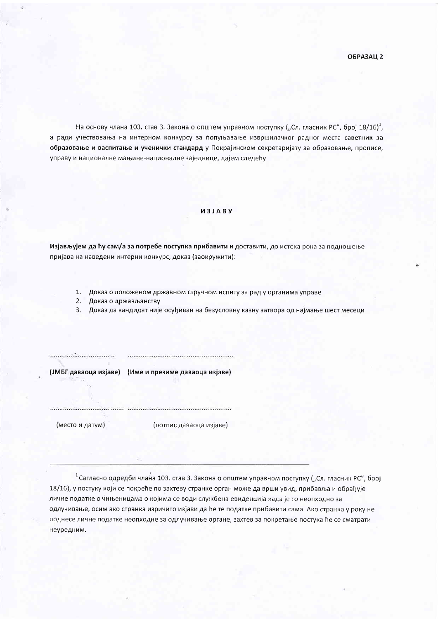На основу члана 103. став 3. Закона о општем управном поступку ("Сл. гласник РС", број 18/16)<sup>1</sup>, а ради учествовања на интерном конкурсу за попуњавање извршилачког радног места саветник за образовање и васпитање и ученички стандард у Покрајинском секретаријату за образовање, прописе, управу и националне мањине-националне заједнице, дајем следећу

## *UBJABY*

Изјављујем да ћу сам/а за потребе поступка прибавити и доставити, до истека рока за подношење пријава на наведени интерни конкурс, доказ (заокружити):

- 1. Доказ о положеном државном стручном испиту за рад у органима управе
- 2. Доказ о држављанству
- 3. Доказ да кандидат није осуђиван на безусловну казну затвора од најмање шест месеци

(ЈМБГ даваоца изјаве) (Име и презиме даваоца изјаве)

(место и датум)

...................................

(потпис даваоца изјаве)

<sup>1</sup> Сагласно одредби члана 103. став 3. Закона о општем управном поступку ("Сл. гласник РС", број 18/16), у постуку који се покреће по захтеву странке орган може да врши увид, прибавља и обрађује личне податке о чињеницама о којима се води службена евиденција када је то неопходно за одлучивање, осим ако странка изричито изјави да ће те податке прибавити сама. Ако странка у року не поднесе личне податке неопходне за одлучивање органе, захтев за покретање постука ће се сматрати неуредним.